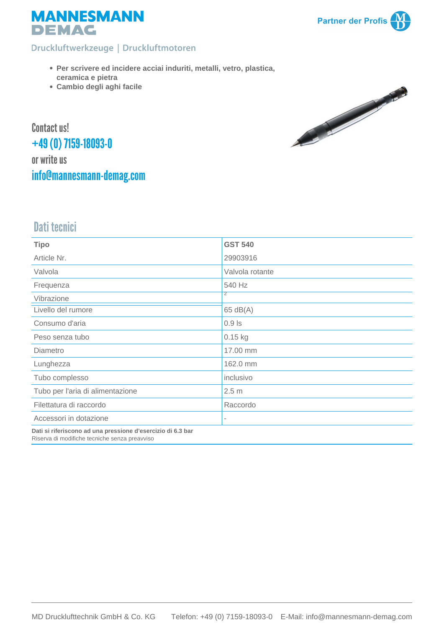

#### Druckluftwerkzeuge | Druckluftmotoren

- **Per scrivere ed incidere acciai induriti, metalli, vetro, plastica, ceramica e pietra**
- **Cambio degli aghi facile**



Contact us! +49 (0) 7159-18093-0 or write us [info@mannesmann-demag.com](mailto:info@mannesmann-demag.com)

# Dati tecnici

| <b>Tipo</b>                                                                                                  | <b>GST 540</b>   |  |  |  |
|--------------------------------------------------------------------------------------------------------------|------------------|--|--|--|
| Article Nr.                                                                                                  | 29903916         |  |  |  |
| Valvola                                                                                                      | Valvola rotante  |  |  |  |
| Frequenza                                                                                                    | 540 Hz           |  |  |  |
| Vibrazione                                                                                                   | 2                |  |  |  |
| Livello del rumore                                                                                           | 65 dB(A)         |  |  |  |
| Consumo d'aria                                                                                               | $0.9$ Is         |  |  |  |
| Peso senza tubo                                                                                              | $0.15$ kg        |  |  |  |
| Diametro                                                                                                     | 17.00 mm         |  |  |  |
| Lunghezza                                                                                                    | 162.0 mm         |  |  |  |
| Tubo complesso                                                                                               | inclusivo        |  |  |  |
| Tubo per l'aria di alimentazione                                                                             | 2.5 <sub>m</sub> |  |  |  |
| Filettatura di raccordo                                                                                      | Raccordo         |  |  |  |
| Accessori in dotazione                                                                                       |                  |  |  |  |
| Dati si riferiscono ad una pressione d'esercizio di 6.3 bar<br>Riserva di modifiche tecniche senza preavviso |                  |  |  |  |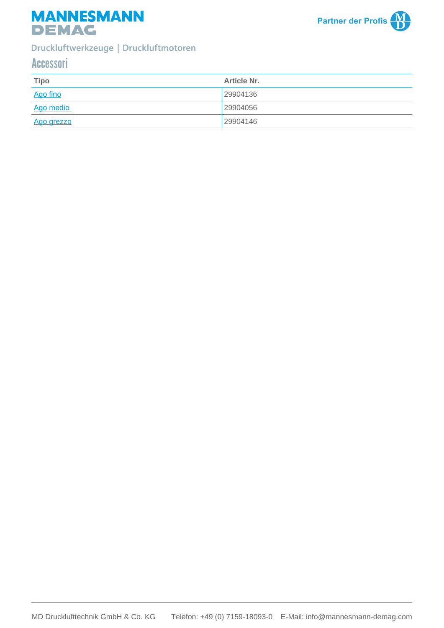



### Druckluftwerkzeuge | Druckluftmotoren

## Accessori

| <b>Tipo</b> | <b>Article Nr.</b> |
|-------------|--------------------|
| Ago fino    | 29904136           |
| Ago medio   | 29904056           |
| Ago grezzo  | 29904146           |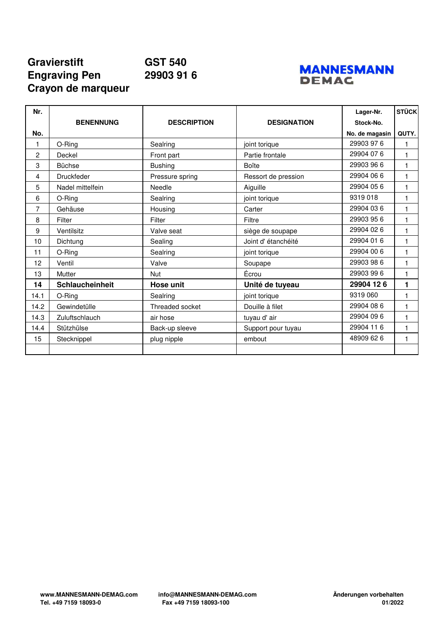## **Gravierstift GST 540 Engraving Pen 29903 91 6 Crayon de marqueur**



| Nr.  |                   |                    |                     | Lager-Nr.      | <b>STÜCK</b> |
|------|-------------------|--------------------|---------------------|----------------|--------------|
|      | <b>BENENNUNG</b>  | <b>DESCRIPTION</b> | <b>DESIGNATION</b>  | Stock-No.      |              |
| No.  |                   |                    |                     | No. de magasin | QUTY.        |
| 1    | O-Ring            | Sealring           | joint torique       | 29903 976      |              |
| 2    | Deckel            | Front part         | Partie frontale     | 29904 07 6     | 1            |
| 3    | <b>Büchse</b>     | <b>Bushing</b>     | Boîte               | 29903 96 6     | $\mathbf{1}$ |
| 4    | <b>Druckfeder</b> | Pressure spring    | Ressort de pression | 29904 06 6     | 1            |
| 5    | Nadel mittelfein  | Needle             | Aiguille            | 29904 05 6     | $\mathbf{1}$ |
| 6    | O-Ring            | Sealring           | joint torique       | 9319018        | 1            |
| 7    | Gehäuse           | Housing            | Carter              | 29904 03 6     | 1            |
| 8    | Filter            | Filter             | Filtre              | 29903 95 6     | 1            |
| 9    | Ventilsitz        | Valve seat         | siège de soupape    | 29904 02 6     | 1            |
| 10   | Dichtung          | Sealing            | Joint d'étanchéité  | 29904 01 6     | 1            |
| 11   | O-Ring            | Sealring           | joint torique       | 29904 00 6     | 1            |
| 12   | Ventil            | Valve              | Soupape             | 29903 98 6     | 1            |
| 13   | Mutter            | <b>Nut</b>         | Écrou               | 29903 99 6     | 1            |
| 14   | Schlaucheinheit   | Hose unit          | Unité de tuyeau     | 29904 126      | 1            |
| 14.1 | O-Ring            | Sealring           | joint torique       | 9319 060       | 1            |
| 14.2 | Gewindetülle      | Threaded socket    | Douille à filet     | 29904 08 6     | 1            |
| 14.3 | Zuluftschlauch    | air hose           | tuyau d'air         | 29904 09 6     | 1            |
| 14.4 | Stützhülse        | Back-up sleeve     | Support pour tuyau  | 29904 11 6     | 1            |
| 15   | Stecknippel       | plug nipple        | embout              | 48909 62 6     | $\mathbf{1}$ |
|      |                   |                    |                     |                |              |